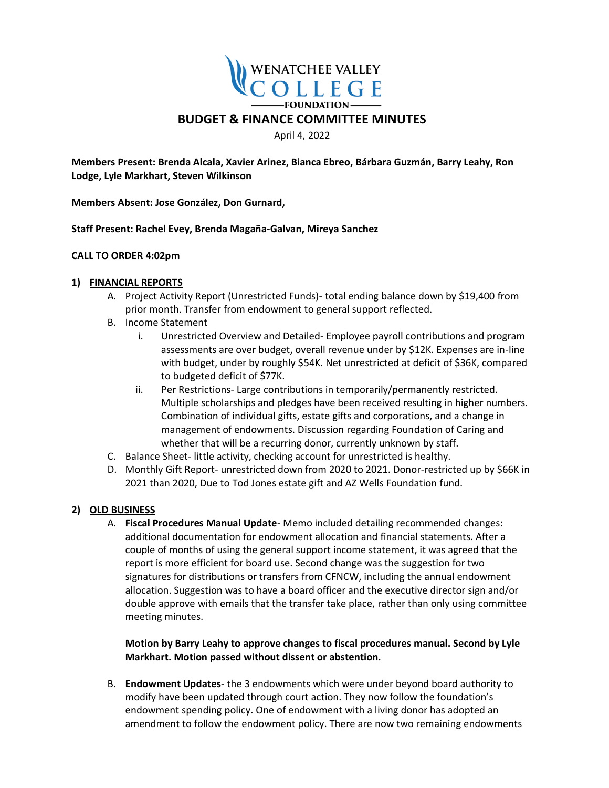

April 4, 2022

**Members Present: Brenda Alcala, Xavier Arinez, Bianca Ebreo, Bárbara Guzmán, Barry Leahy, Ron Lodge, Lyle Markhart, Steven Wilkinson**

**Members Absent: Jose González, Don Gurnard,** 

**Staff Present: Rachel Evey, Brenda Magaña-Galvan, Mireya Sanchez** 

# **CALL TO ORDER 4:02pm**

# **1) FINANCIAL REPORTS**

- A. Project Activity Report (Unrestricted Funds)- total ending balance down by \$19,400 from prior month. Transfer from endowment to general support reflected.
- B. Income Statement
	- i. Unrestricted Overview and Detailed- Employee payroll contributions and program assessments are over budget, overall revenue under by \$12K. Expenses are in-line with budget, under by roughly \$54K. Net unrestricted at deficit of \$36K, compared to budgeted deficit of \$77K.
	- ii. Per Restrictions- Large contributions in temporarily/permanently restricted. Multiple scholarships and pledges have been received resulting in higher numbers. Combination of individual gifts, estate gifts and corporations, and a change in management of endowments. Discussion regarding Foundation of Caring and whether that will be a recurring donor, currently unknown by staff.
- C. Balance Sheet- little activity, checking account for unrestricted is healthy.
- D. Monthly Gift Report- unrestricted down from 2020 to 2021. Donor-restricted up by \$66K in 2021 than 2020, Due to Tod Jones estate gift and AZ Wells Foundation fund.

# **2) OLD BUSINESS**

A. **Fiscal Procedures Manual Update**- Memo included detailing recommended changes: additional documentation for endowment allocation and financial statements. After a couple of months of using the general support income statement, it was agreed that the report is more efficient for board use. Second change was the suggestion for two signatures for distributions or transfers from CFNCW, including the annual endowment allocation. Suggestion was to have a board officer and the executive director sign and/or double approve with emails that the transfer take place, rather than only using committee meeting minutes.

**Motion by Barry Leahy to approve changes to fiscal procedures manual. Second by Lyle Markhart. Motion passed without dissent or abstention.** 

B. **Endowment Updates**- the 3 endowments which were under beyond board authority to modify have been updated through court action. They now follow the foundation's endowment spending policy. One of endowment with a living donor has adopted an amendment to follow the endowment policy. There are now two remaining endowments